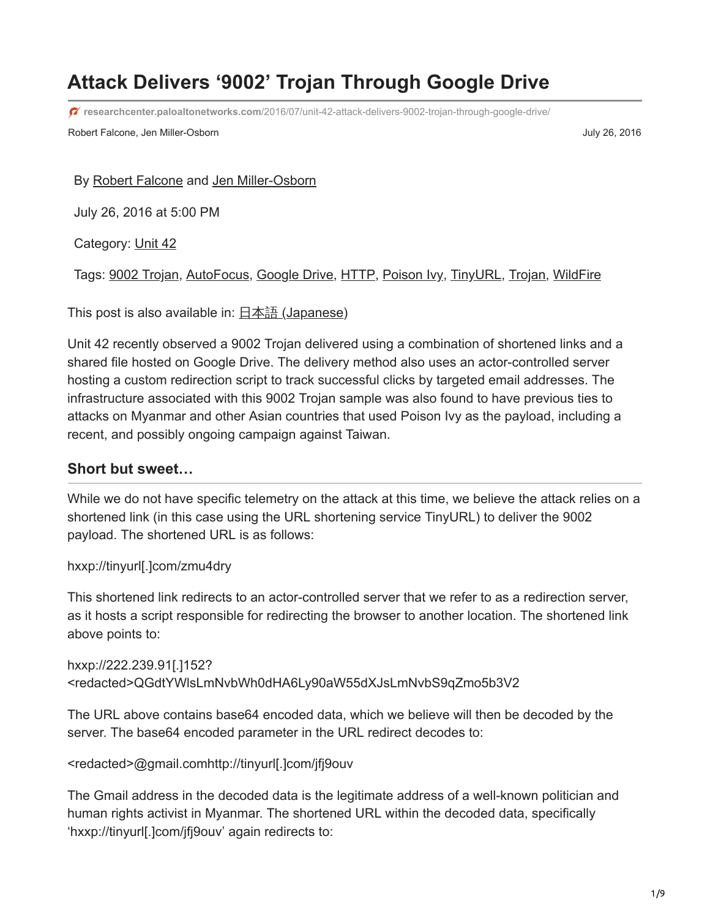# **Attack Delivers '9002' Trojan Through Google Drive**

**researchcenter.paloaltonetworks.com**[/2016/07/unit-42-attack-delivers-9002-trojan-through-google-drive/](http://researchcenter.paloaltonetworks.com/2016/07/unit-42-attack-delivers-9002-trojan-through-google-drive/)

Robert Falcone, Jen Miller-Osborn **July 26, 2016 July 26, 2016** 

By [Robert Falcone](https://unit42.paloaltonetworks.com/author/robertfalcone/) and [Jen Miller-Osborn](https://unit42.paloaltonetworks.com/author/jen-miller-osborn/)

July 26, 2016 at 5:00 PM

Category: [Unit 42](https://unit42.paloaltonetworks.com/category/unit42/)

Tags: [9002 Trojan](https://unit42.paloaltonetworks.com/tag/9002-trojan/), [AutoFocus](https://unit42.paloaltonetworks.com/tag/autofocus/), [Google Drive,](https://unit42.paloaltonetworks.com/tag/google-drive/) [HTTP](https://unit42.paloaltonetworks.com/tag/http/), [Poison Ivy](https://unit42.paloaltonetworks.com/tag/poison-ivy/), [TinyURL,](https://unit42.paloaltonetworks.com/tag/tinyurl/) [Trojan,](https://unit42.paloaltonetworks.com/tag/trojan/) [WildFire](https://unit42.paloaltonetworks.com/tag/wildfire/)

This post is also available in: 日本語 [\(Japanese\)](https://unit42.paloaltonetworks.jp/unit-42-attack-delivers-9002-trojan-through-google-drive/)

Unit 42 recently observed a 9002 Trojan delivered using a combination of shortened links and a shared file hosted on Google Drive. The delivery method also uses an actor-controlled server hosting a custom redirection script to track successful clicks by targeted email addresses. The infrastructure associated with this 9002 Trojan sample was also found to have previous ties to attacks on Myanmar and other Asian countries that used Poison Ivy as the payload, including a recent, and possibly ongoing campaign against Taiwan.

#### **Short but sweet…**

While we do not have specific telemetry on the attack at this time, we believe the attack relies on a shortened link (in this case using the URL shortening service TinyURL) to deliver the 9002 payload. The shortened URL is as follows:

hxxp://tinyurl[.]com/zmu4dry

This shortened link redirects to an actor-controlled server that we refer to as a redirection server, as it hosts a script responsible for redirecting the browser to another location. The shortened link above points to:

hxxp://222.239.91[.]152? <redacted>QGdtYWlsLmNvbWh0dHA6Ly90aW55dXJsLmNvbS9qZmo5b3V2

The URL above contains base64 encoded data, which we believe will then be decoded by the server. The base64 encoded parameter in the URL redirect decodes to:

<redacted>@gmail.comhttp://tinyurl[.]com/jfj9ouv

The Gmail address in the decoded data is the legitimate address of a well-known politician and human rights activist in Myanmar. The shortened URL within the decoded data, specifically 'hxxp://tinyurl[.]com/jfj9ouv' again redirects to: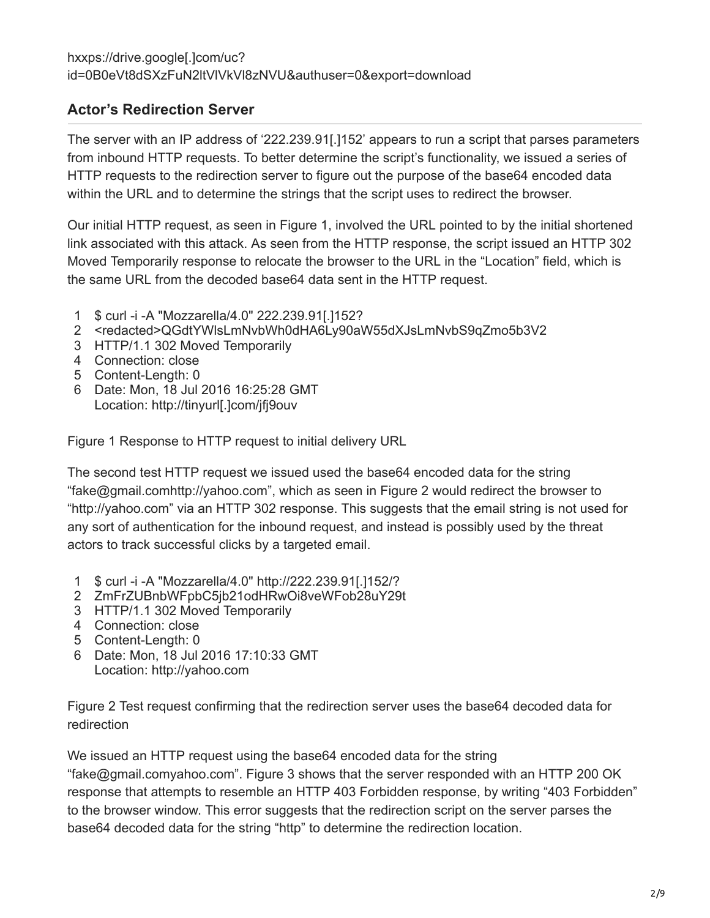### **Actor's Redirection Server**

The server with an IP address of '222.239.91[.]152' appears to run a script that parses parameters from inbound HTTP requests. To better determine the script's functionality, we issued a series of HTTP requests to the redirection server to figure out the purpose of the base64 encoded data within the URL and to determine the strings that the script uses to redirect the browser.

Our initial HTTP request, as seen in Figure 1, involved the URL pointed to by the initial shortened link associated with this attack. As seen from the HTTP response, the script issued an HTTP 302 Moved Temporarily response to relocate the browser to the URL in the "Location" field, which is the same URL from the decoded base64 data sent in the HTTP request.

- 1 \$ curl -i -A "Mozzarella/4.0" 222.239.91[.]152?
- 2 <redacted>QGdtYWlsLmNvbWh0dHA6Ly90aW55dXJsLmNvbS9qZmo5b3V2
- 3 HTTP/1.1 302 Moved Temporarily
- 4 Connection: close
- 5 Content-Length: 0
- 6 Date: Mon, 18 Jul 2016 16:25:28 GMT Location: http://tinyurl[.]com/jfj9ouv

Figure 1 Response to HTTP request to initial delivery URL

The second test HTTP request we issued used the base64 encoded data for the string "fake@gmail.comhttp://yahoo.com", which as seen in Figure 2 would redirect the browser to "http://yahoo.com" via an HTTP 302 response. This suggests that the email string is not used for any sort of authentication for the inbound request, and instead is possibly used by the threat actors to track successful clicks by a targeted email.

- 1 \$ curl -i -A "Mozzarella/4.0" http://222.239.91[.]152/?
- 2 ZmFrZUBnbWFpbC5jb21odHRwOi8veWFob28uY29t
- 3 HTTP/1.1 302 Moved Temporarily
- 4 Connection: close
- 5 Content-Length: 0
- 6 Date: Mon, 18 Jul 2016 17:10:33 GMT Location: http://yahoo.com

Figure 2 Test request confirming that the redirection server uses the base64 decoded data for redirection

We issued an HTTP request using the base64 encoded data for the string

"fake@gmail.comyahoo.com". Figure 3 shows that the server responded with an HTTP 200 OK response that attempts to resemble an HTTP 403 Forbidden response, by writing "403 Forbidden" to the browser window. This error suggests that the redirection script on the server parses the base64 decoded data for the string "http" to determine the redirection location.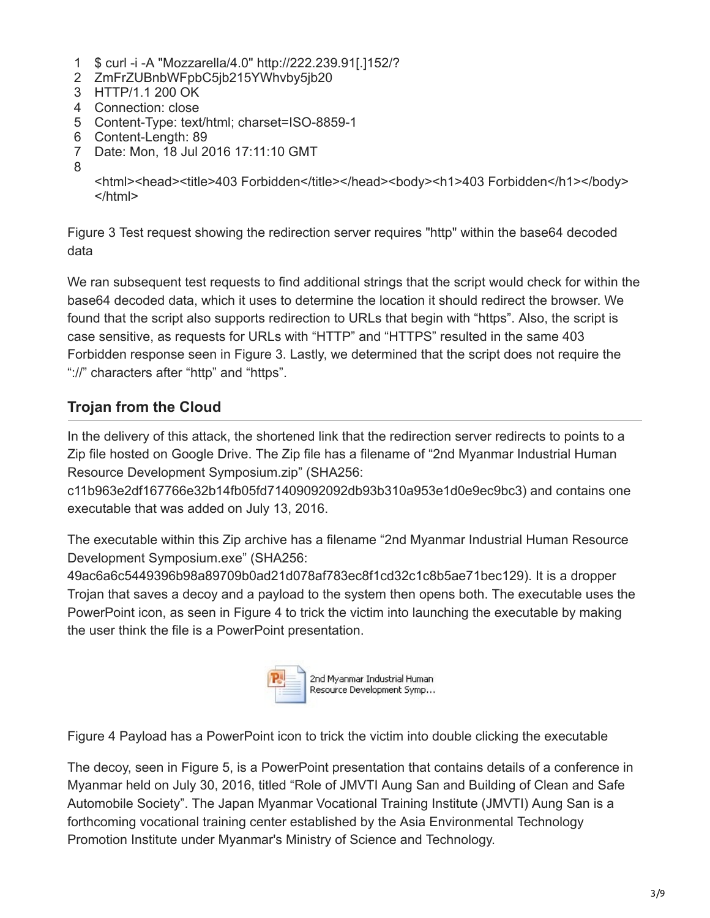- 1 \$ curl -i -A "Mozzarella/4.0" http://222.239.91[.]152/?
- 2 ZmFrZUBnbWFpbC5jb215YWhvby5jb20
- 3 HTTP/1.1 200 OK
- 4 Connection: close
- 5 Content-Type: text/html; charset=ISO-8859-1
- 6 Content-Length: 89
- 7 Date: Mon, 18 Jul 2016 17:11:10 GMT
- 8

<html><head><title>403 Forbidden</title></head><br/>>body><h1>403 Forbidden</h1></body> </html>

Figure 3 Test request showing the redirection server requires "http" within the base64 decoded data

We ran subsequent test requests to find additional strings that the script would check for within the base64 decoded data, which it uses to determine the location it should redirect the browser. We found that the script also supports redirection to URLs that begin with "https". Also, the script is case sensitive, as requests for URLs with "HTTP" and "HTTPS" resulted in the same 403 Forbidden response seen in Figure 3. Lastly, we determined that the script does not require the "://" characters after "http" and "https".

## **Trojan from the Cloud**

In the delivery of this attack, the shortened link that the redirection server redirects to points to a Zip file hosted on Google Drive. The Zip file has a filename of "2nd Myanmar Industrial Human Resource Development Symposium.zip" (SHA256:

c11b963e2df167766e32b14fb05fd71409092092db93b310a953e1d0e9ec9bc3) and contains one executable that was added on July 13, 2016.

The executable within this Zip archive has a filename "2nd Myanmar Industrial Human Resource Development Symposium.exe" (SHA256:

49ac6a6c5449396b98a89709b0ad21d078af783ec8f1cd32c1c8b5ae71bec129). It is a dropper Trojan that saves a decoy and a payload to the system then opens both. The executable uses the PowerPoint icon, as seen in Figure 4 to trick the victim into launching the executable by making the user think the file is a PowerPoint presentation.



2nd Myanmar Industrial Human Resource Development Symp...

Figure 4 Payload has a PowerPoint icon to trick the victim into double clicking the executable

The decoy, seen in Figure 5, is a PowerPoint presentation that contains details of a conference in Myanmar held on July 30, 2016, titled "Role of JMVTI Aung San and Building of Clean and Safe Automobile Society". The Japan Myanmar Vocational Training Institute (JMVTI) Aung San is a forthcoming vocational training center established by the Asia Environmental Technology Promotion Institute under Myanmar's Ministry of Science and Technology.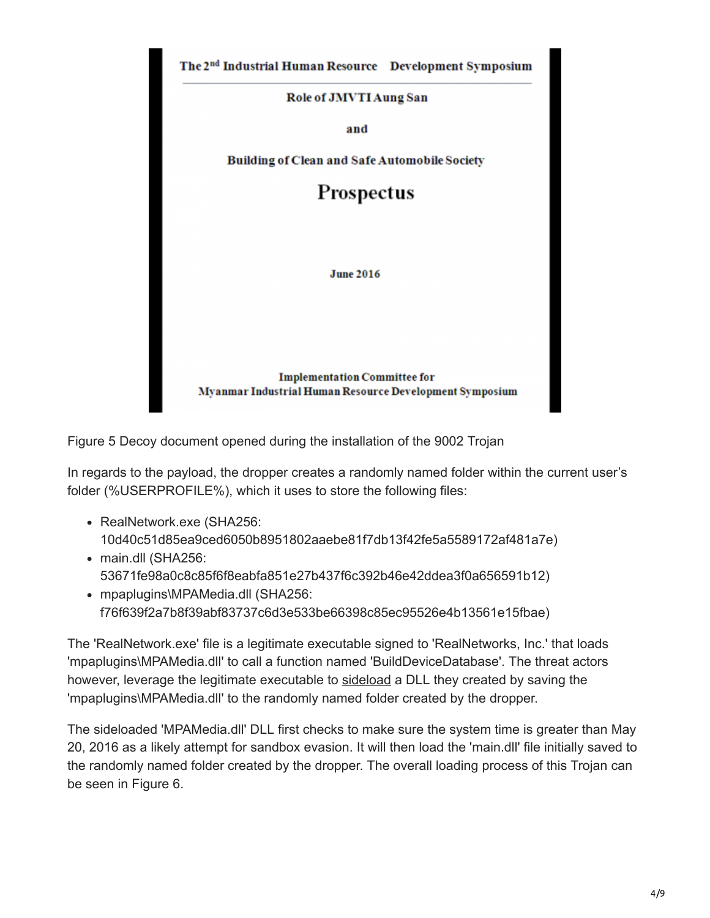

Figure 5 Decoy document opened during the installation of the 9002 Trojan

In regards to the payload, the dropper creates a randomly named folder within the current user's folder (%USERPROFILE%), which it uses to store the following files:

- RealNetwork.exe (SHA256: 10d40c51d85ea9ced6050b8951802aaebe81f7db13f42fe5a5589172af481a7e)
- main.dll (SHA256: 53671fe98a0c8c85f6f8eabfa851e27b437f6c392b46e42ddea3f0a656591b12)
- mpaplugins\MPAMedia.dll (SHA256: f76f639f2a7b8f39abf83737c6d3e533be66398c85ec95526e4b13561e15fbae)

The 'RealNetwork.exe' file is a legitimate executable signed to 'RealNetworks, Inc.' that loads 'mpaplugins\MPAMedia.dll' to call a function named 'BuildDeviceDatabase'. The threat actors however, leverage the legitimate executable to [sideload](https://attack.mitre.org/wiki/DLL_side-loading) a DLL they created by saving the 'mpaplugins\MPAMedia.dll' to the randomly named folder created by the dropper.

The sideloaded 'MPAMedia.dll' DLL first checks to make sure the system time is greater than May 20, 2016 as a likely attempt for sandbox evasion. It will then load the 'main.dll' file initially saved to the randomly named folder created by the dropper. The overall loading process of this Trojan can be seen in Figure 6.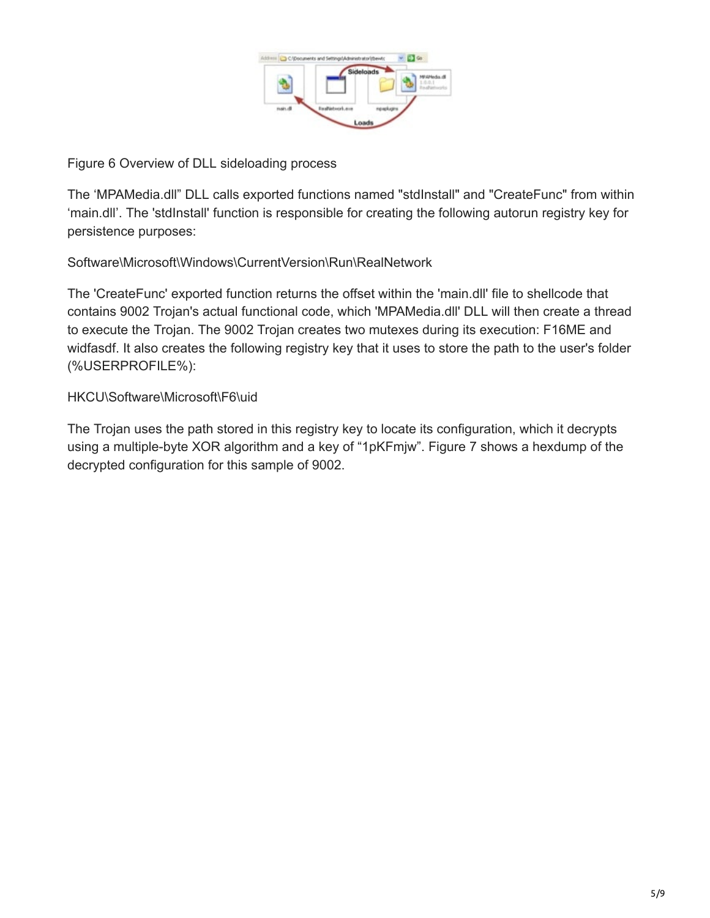

Figure 6 Overview of DLL sideloading process

The 'MPAMedia.dll" DLL calls exported functions named "stdInstall" and "CreateFunc" from within 'main.dll'. The 'stdInstall' function is responsible for creating the following autorun registry key for persistence purposes:

Software\Microsoft\Windows\CurrentVersion\Run\RealNetwork

The 'CreateFunc' exported function returns the offset within the 'main.dll' file to shellcode that contains 9002 Trojan's actual functional code, which 'MPAMedia.dll' DLL will then create a thread to execute the Trojan. The 9002 Trojan creates two mutexes during its execution: F16ME and widfasdf. It also creates the following registry key that it uses to store the path to the user's folder (%USERPROFILE%):

#### HKCU\Software\Microsoft\F6\uid

The Trojan uses the path stored in this registry key to locate its configuration, which it decrypts using a multiple-byte XOR algorithm and a key of "1pKFmjw". Figure 7 shows a hexdump of the decrypted configuration for this sample of 9002.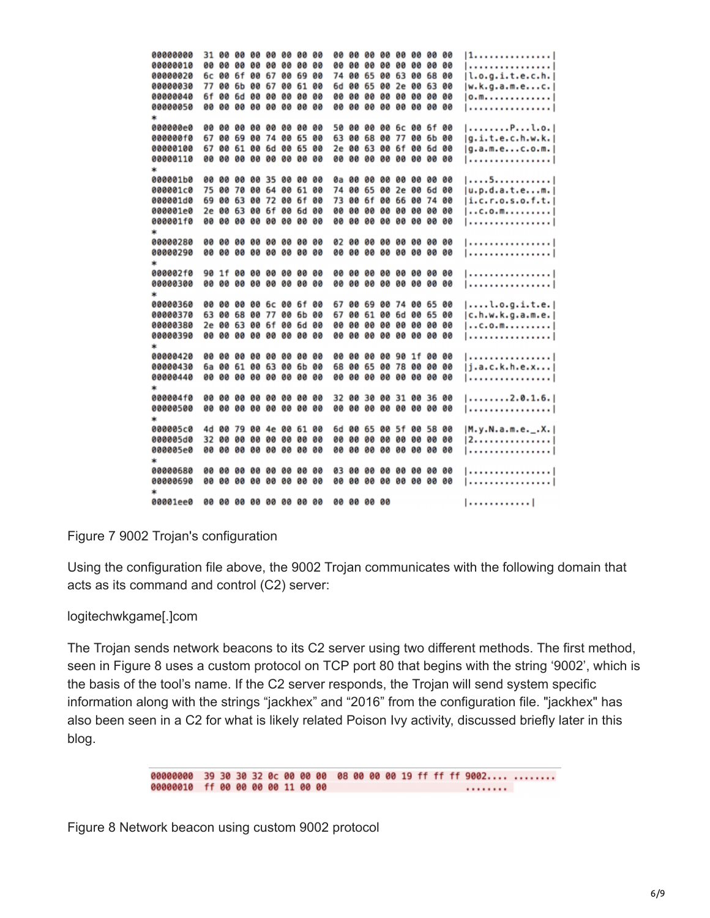11. . . . . . . . . . . . . . . 1 <u>1. . . . . . . . . . . . . . . .</u> 88888828 6c 88 6f 88 67 88 69 88 74 88 65 88 63 88 68 88  $|l.o.a.i.t.e.c.h.|$ 00000030 77 00 6b 00 67 00 61 00 6d 00 65 00 2e 00 63 00  $|w.k.q.a.m.e...c.|$  $|0. m. . . . . . . . . . . . .$ <u>1.................</u>1 aggagaea ag ag ag ag ag ag ag ag sa ag ag ag ac ca sfag  $|$ ........P...l.o. 000000f0 67 00 69 00 74 00 65 00 63 00 68 00 77 00 6b 00  $|q.i.t.e.c.h.w.k.|$ 00000100 67 00 61 00 6d 00 65 00 2e 00 63 00 6f 00 6d 00  $|q.a.m.e...c.o.m.|$ 00000110 00 00 00 00 00 00 00 00 00 00 00 00 00 00 00 00 <u>| . . . . . . . . . . . . . . . .</u> |  $|...5.........|$ 000001c0 75 00 70 00 64 00 61 00 74 00 65 00 2e 00 6d 00  $|u.p.d.a.t.e...m.|$ 000001d0 69 00 63 00 72 00 6f 00 73 00 6f 00 66 00 74 00  $|i,c,r.0,s.0,f.t.|$ 000001e0 2e 00 63 00 6f 00 6d 00 00 00 00 00 00 00 00 00  $|...c.0.m.........|$ 000001f0 00 00 00 00 00 00 00 00 00 00 00 00 00 00 00 00 1. . . . . . . . . . . . . . . . 1 1. . . . . . . . . . . . . . . . 1 <u>| . . . . . . . . . . . . . . . . |</u> <u>| . . . . . . . . . . . . . . . . |</u> | . . . . . . . . . . . . . . . . | 00000360 00 00 00 00 6c 00 6f 00 67 00 69 00 74 00 65 00  $1, ..., 1, 0, q, i, t, e, 1$ 00000370 63 00 68 00 77 00 6b 00 67 00 61 00 6d 00 65 00  $[c.h.w.k.g.a.m.e.]$ 00000380 2e 00 63 00 6f 00 6d 00 00 00 00 00 00 00 00 00  $|...c.0.$  m.......... | . . . . . . . . . . . . . . . . | 00000420 00 00 00 00 00 00 00 00 00 00 00 00 90 1f 00 00 <u>1. . . . . . . . . . . . . . . . 1</u> 00000430 6a 00 61 00 63 00 6b 00 68 00 65 00 78 00 00 00  $|j.a.c.k.h.e.x...|$ <u>1.................</u>1 000004f0 00 00 00 00 00 00 00 00 32 00 30 00 31 00 36 00  $|.........2.0.1.6.|$ <u>| . . . . . . . . . . . . . . . . |</u> 000005c0 4d 00 79 00 4e 00 61 00 6d 00 65 00 5f 00 58 00  $|M.y.N.a.m.e._.X.|$ |2. . . . . . . . . . . . . . . <u>| . . . . . . . . . . . . . . . . |</u> | . . . . . . . . . . . . . . . . | 00001ee0 00 00 00 00 00 00 00 00 00 00 00 00  $|............|$ 

Figure 7 9002 Trojan's configuration

Using the configuration file above, the 9002 Trojan communicates with the following domain that acts as its command and control (C2) server:

#### logitechwkgame[.]com

The Trojan sends network beacons to its C2 server using two different methods. The first method, seen in Figure 8 uses a custom protocol on TCP port 80 that begins with the string '9002', which is the basis of the tool's name. If the C2 server responds, the Trojan will send system specific information along with the strings "jackhex" and "2016" from the configuration file. "jackhex" has also been seen in a C2 for what is likely related Poison Ivy activity, discussed briefly later in this blog.

> 00000000 39 30 30 32 0c 00 00 00 08 00 00 00 19 ff ff ff 9002.... ........ 00000010 ff 00 00 00 00 11 00 00 the company's company's company's company's

Figure 8 Network beacon using custom 9002 protocol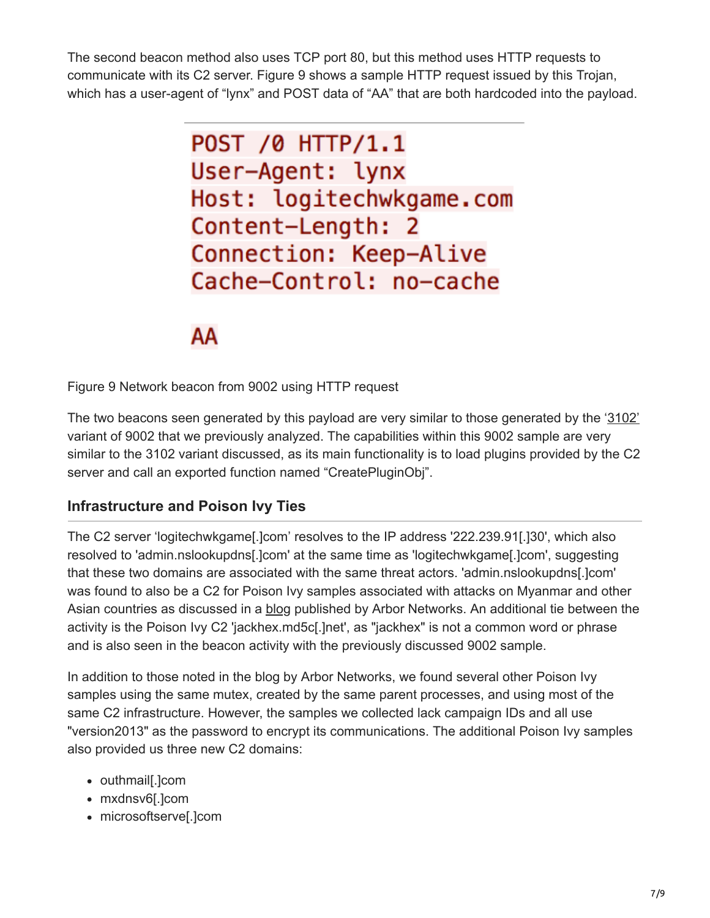The second beacon method also uses TCP port 80, but this method uses HTTP requests to communicate with its C2 server. Figure 9 shows a sample HTTP request issued by this Trojan, which has a user-agent of "lynx" and POST data of "AA" that are both hardcoded into the payload.

> POST /0 HTTP/1.1 User-Agent: lynx Host: logitechwkgame.com Content-Length: 2 Connection: Keep-Alive Cache-Control: no-cache

# ΑA

Figure 9 Network beacon from 9002 using HTTP request

The two beacons seen generated by this payload are very similar to those generated by the '[3102'](https://blog.paloaltonetworks.com/2015/09/chinese-actors-use-3102-malware-in-attacks-on-us-government-and-eu-media/) variant of 9002 that we previously analyzed. The capabilities within this 9002 sample are very similar to the 3102 variant discussed, as its main functionality is to load plugins provided by the C2 server and call an exported function named "CreatePluginObj".

#### **Infrastructure and Poison Ivy Ties**

The C2 server 'logitechwkgame[.]com' resolves to the IP address '222.239.91[.]30', which also resolved to 'admin.nslookupdns[.]com' at the same time as 'logitechwkgame[.]com', suggesting that these two domains are associated with the same threat actors. 'admin.nslookupdns[.]com' was found to also be a C2 for Poison Ivy samples associated with attacks on Myanmar and other Asian countries as discussed in a [blog](https://www.arbornetworks.com/blog/asert/recent-poison-iv/) published by Arbor Networks. An additional tie between the activity is the Poison Ivy C2 'jackhex.md5c[.]net', as "jackhex" is not a common word or phrase and is also seen in the beacon activity with the previously discussed 9002 sample.

In addition to those noted in the blog by Arbor Networks, we found several other Poison Ivy samples using the same mutex, created by the same parent processes, and using most of the same C2 infrastructure. However, the samples we collected lack campaign IDs and all use "version2013" as the password to encrypt its communications. The additional Poison Ivy samples also provided us three new C2 domains:

- outhmail[.]com
- mxdnsv6[.]com
- microsoftserve[.]com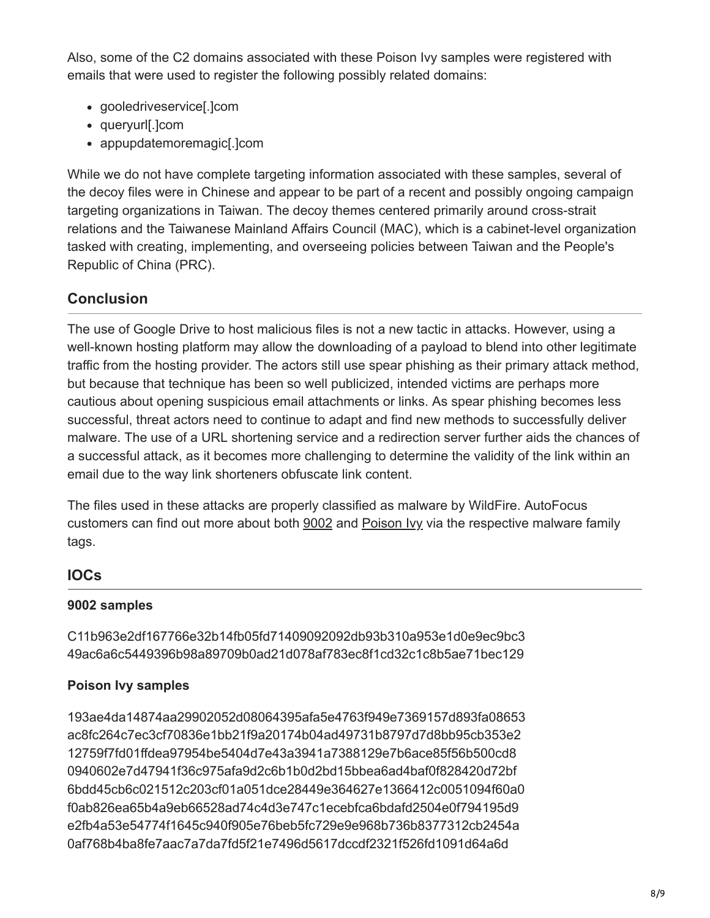Also, some of the C2 domains associated with these Poison Ivy samples were registered with emails that were used to register the following possibly related domains:

- gooledriveservice[.]com
- queryurl[.]com
- appupdatemoremagic[.]com

While we do not have complete targeting information associated with these samples, several of the decoy files were in Chinese and appear to be part of a recent and possibly ongoing campaign targeting organizations in Taiwan. The decoy themes centered primarily around cross-strait relations and the Taiwanese Mainland Affairs Council (MAC), which is a cabinet-level organization tasked with creating, implementing, and overseeing policies between Taiwan and the People's Republic of China (PRC).

### **Conclusion**

The use of Google Drive to host malicious files is not a new tactic in attacks. However, using a well-known hosting platform may allow the downloading of a payload to blend into other legitimate traffic from the hosting provider. The actors still use spear phishing as their primary attack method, but because that technique has been so well publicized, intended victims are perhaps more cautious about opening suspicious email attachments or links. As spear phishing becomes less successful, threat actors need to continue to adapt and find new methods to successfully deliver malware. The use of a URL shortening service and a redirection server further aids the chances of a successful attack, as it becomes more challenging to determine the validity of the link within an email due to the way link shorteners obfuscate link content.

The files used in these attacks are properly classified as malware by WildFire. AutoFocus customers can find out more about both [9002](https://autofocus.paloaltonetworks.com/#/tag/Unit42.9002) and [Poison Ivy](https://autofocus.paloaltonetworks.com/#/tag/Unit42.PoisonIvy) via the respective malware family tags.

#### **IOCs**

#### **9002 samples**

C11b963e2df167766e32b14fb05fd71409092092db93b310a953e1d0e9ec9bc3 49ac6a6c5449396b98a89709b0ad21d078af783ec8f1cd32c1c8b5ae71bec129

#### **Poison Ivy samples**

193ae4da14874aa29902052d08064395afa5e4763f949e7369157d893fa08653 ac8fc264c7ec3cf70836e1bb21f9a20174b04ad49731b8797d7d8bb95cb353e2 12759f7fd01ffdea97954be5404d7e43a3941a7388129e7b6ace85f56b500cd8 0940602e7d47941f36c975afa9d2c6b1b0d2bd15bbea6ad4baf0f828420d72bf 6bdd45cb6c021512c203cf01a051dce28449e364627e1366412c0051094f60a0 f0ab826ea65b4a9eb66528ad74c4d3e747c1ecebfca6bdafd2504e0f794195d9 e2fb4a53e54774f1645c940f905e76beb5fc729e9e968b736b8377312cb2454a 0af768b4ba8fe7aac7a7da7fd5f21e7496d5617dccdf2321f526fd1091d64a6d